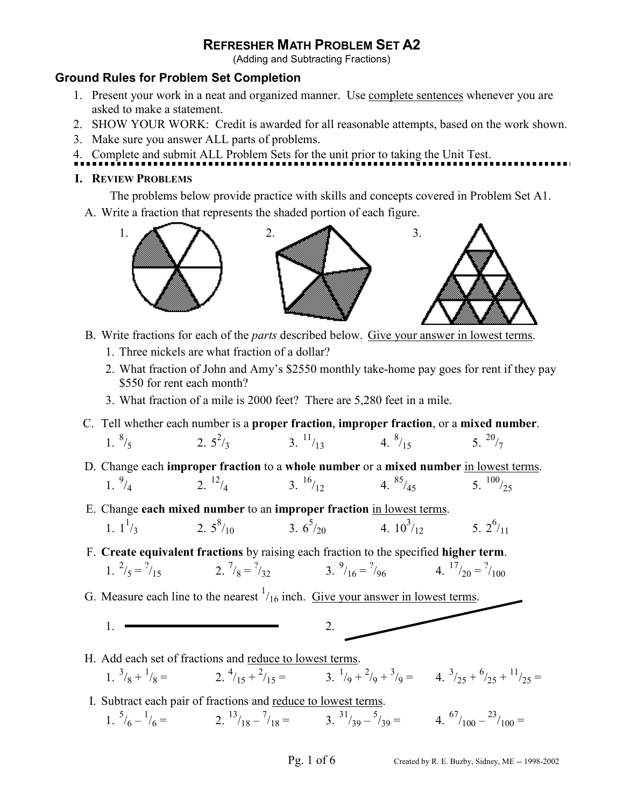(Adding and Subtracting Fractions)

## **Ground Rules for Problem Set Completion**

- 1. Present your work in a neat and organized manner. Use complete sentences whenever you are asked to make a statement.
- 2. SHOW YOUR WORK: Credit is awarded for all reasonable attempts, based on the work shown.
- 3. Make sure you answer ALL parts of problems.
- 4. Complete and submit ALL Problem Sets for the unit prior to taking the Unit Test.

# **I. REVIEW PROBLEMS**

The problems below provide practice with skills and concepts covered in Problem Set A1.

A. Write a fraction that represents the shaded portion of each figure.



- B. Write fractions for each of the *parts* described below. Give your answer in lowest terms.
	- 1. Three nickels are what fraction of a dollar?
	- 2. What fraction of John and Amy's \$2550 monthly take-home pay goes for rent if they pay \$550 for rent each month?
	- 3. What fraction of a mile is 2000 feet? There are 5,280 feet in a mile.
- C. Tell whether each number is a **proper fraction**, **improper fraction**, or a **mixed number**. 1.  $\frac{8}{5}$ 2.  $5^2$ /<sub>3</sub> 3.  $\frac{11}{13}$  4.  $\frac{8}{15}$ 5.  $\frac{20}{7}$
- D. Change each **improper fraction** to a **whole number** or a **mixed number** in lowest terms.  $1. \frac{9}{4}$  $/4$  2.  $\frac{12}{4}$  3.  $\frac{16}{12}$  4.  $\frac{85}{45}$  5.  $\frac{100}{25}$
- E. Change **each mixed number** to an **improper fraction** in lowest terms. 1.  $1^{1}/3$ 2.  $5^{8}/10$ 3.  $6^5/20$ 4.  $10^{3}/12$  $/_{12}$  5.  $2^{6}/_{11}$

 F. **Create equivalent fractions** by raising each fraction to the specified **higher term**. 1.  $\frac{2}{5} = ?$  $\frac{1}{15}$  2.  $\frac{7}{8} = \frac{2}{32}$  3.  $\frac{9}{16} = \frac{2}{3}$  $\frac{17}{20} = \frac{?}{100}$ 

- G. Measure each line to the nearest  $\frac{1}{16}$  inch. Give your answer in lowest terms.
	- $1. \t 2.$
- 
- H. Add each set of fractions and reduce to lowest terms. 1.  $\frac{3}{8} + \frac{1}{8} =$  2.  $\frac{4}{15} + \frac{2}{15} =$  3.  $\frac{1}{9} + \frac{2}{9} + \frac{3}{9} =$  4.  $\frac{3}{25} + \frac{6}{25} + \frac{11}{25} =$
- I. Subtract each pair of fractions and reduce to lowest terms.
- 1.  $\frac{5}{6} \frac{1}{6} =$  2.  $\frac{13}{18} \frac{7}{18} =$  3.  $\frac{31}{39} \frac{5}{39} =$  4.  $\frac{67}{100} \frac{23}{100} =$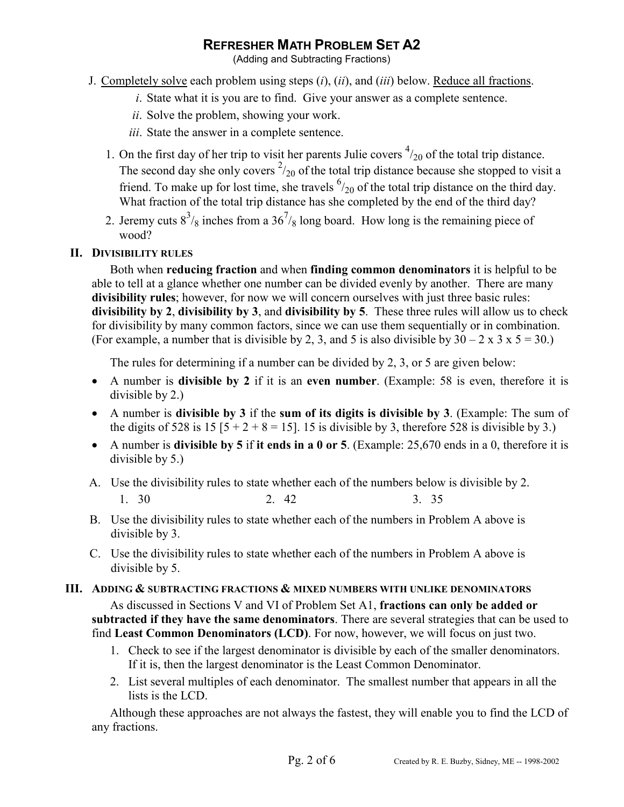(Adding and Subtracting Fractions)

- J. Completely solve each problem using steps (*i*), (*ii*), and (*iii*) below. Reduce all fractions.
	- *i*. State what it is you are to find. Give your answer as a complete sentence.
	- *ii*. Solve the problem, showing your work.
	- *iii*. State the answer in a complete sentence.
- 1. On the first day of her trip to visit her parents Julie covers  $\frac{4}{20}$  of the total trip distance. The second day she only covers  $\frac{2}{20}$  of the total trip distance because she stopped to visit a friend. To make up for lost time, she travels  $\frac{6}{20}$  of the total trip distance on the third day. What fraction of the total trip distance has she completed by the end of the third day?
- 2. Jeremy cuts  $8^3$ /<sub>8</sub> inches from a  $36^7$ /<sub>8</sub> long board. How long is the remaining piece of wood?

## **II. DIVISIBILITY RULES**

Both when **reducing fraction** and when **finding common denominators** it is helpful to be able to tell at a glance whether one number can be divided evenly by another. There are many **divisibility rules**; however, for now we will concern ourselves with just three basic rules: **divisibility by 2**, **divisibility by 3**, and **divisibility by 5**. These three rules will allow us to check for divisibility by many common factors, since we can use them sequentially or in combination. (For example, a number that is divisible by 2, 3, and 5 is also divisible by  $30 - 2 \times 3 \times 5 = 30$ .)

The rules for determining if a number can be divided by 2, 3, or 5 are given below:

- A number is **divisible by 2** if it is an **even number**. (Example: 58 is even, therefore it is divisible by 2.)
- A number is **divisible by 3** if the **sum of its digits is divisible by 3**. (Example: The sum of the digits of 528 is 15  $[5 + 2 + 8 = 15]$ . 15 is divisible by 3, therefore 528 is divisible by 3.)
- A number is **divisible by 5** if **it ends in a 0 or 5**. (Example: 25,670 ends in a 0, therefore it is divisible by 5.)
- A. Use the divisibility rules to state whether each of the numbers below is divisible by 2.
	- 1. 30 2. 42 3. 35
- B. Use the divisibility rules to state whether each of the numbers in Problem A above is divisible by 3.
- C. Use the divisibility rules to state whether each of the numbers in Problem A above is divisible by 5.

## **III. ADDING & SUBTRACTING FRACTIONS & MIXED NUMBERS WITH UNLIKE DENOMINATORS**

As discussed in Sections V and VI of Problem Set A1, **fractions can only be added or subtracted if they have the same denominators**. There are several strategies that can be used to find **Least Common Denominators (LCD)**. For now, however, we will focus on just two.

- 1. Check to see if the largest denominator is divisible by each of the smaller denominators. If it is, then the largest denominator is the Least Common Denominator.
- 2. List several multiples of each denominator. The smallest number that appears in all the lists is the LCD.

Although these approaches are not always the fastest, they will enable you to find the LCD of any fractions.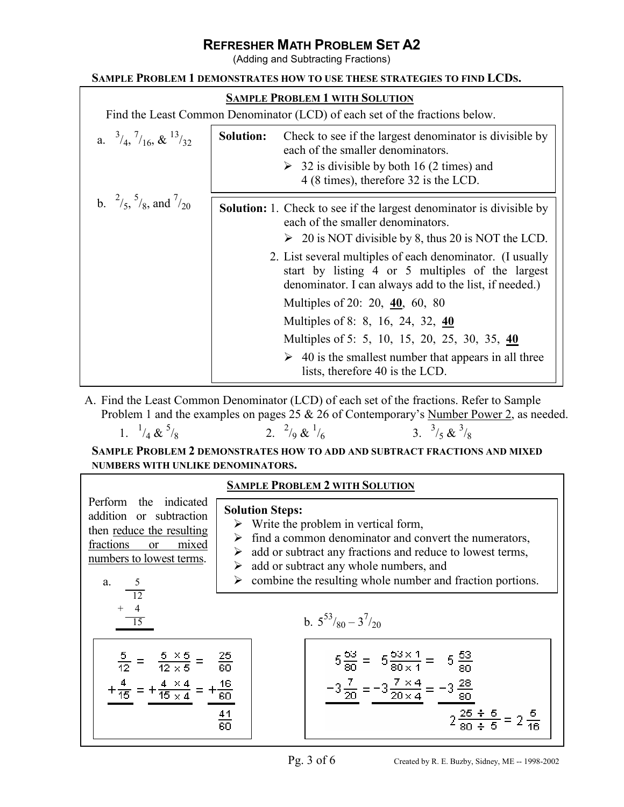(Adding and Subtracting Fractions)

## **SAMPLE PROBLEM 1 DEMONSTRATES HOW TO USE THESE STRATEGIES TO FIND LCDS.**

| <b>SAMPLE PROBLEM 1 WITH SOLUTION</b>                           |                                                                                                                                                                                                              |                                                                                                                                                                              |  |  |
|-----------------------------------------------------------------|--------------------------------------------------------------------------------------------------------------------------------------------------------------------------------------------------------------|------------------------------------------------------------------------------------------------------------------------------------------------------------------------------|--|--|
|                                                                 |                                                                                                                                                                                                              | Find the Least Common Denominator (LCD) of each set of the fractions below.                                                                                                  |  |  |
| a. $\frac{3}{4}$ , $\frac{7}{16}$ , $\frac{\&^{13}}{\sqrt{32}}$ | <b>Solution:</b><br>Check to see if the largest denominator is divisible by<br>each of the smaller denominators.<br>$\geq$ 32 is divisible by both 16 (2 times) and<br>4 (8 times), therefore 32 is the LCD. |                                                                                                                                                                              |  |  |
| b. $\frac{2}{5}$ , $\frac{5}{8}$ , and $\frac{7}{20}$           |                                                                                                                                                                                                              | <b>Solution:</b> 1. Check to see if the largest denominator is divisible by<br>each of the smaller denominators.<br>$\geq 20$ is NOT divisible by 8, thus 20 is NOT the LCD. |  |  |
|                                                                 | 2. List several multiples of each denominator. (I usually<br>start by listing 4 or 5 multiples of the largest<br>denominator. I can always add to the list, if needed.)                                      |                                                                                                                                                                              |  |  |
|                                                                 |                                                                                                                                                                                                              | Multiples of 20: 20, 40, 60, 80                                                                                                                                              |  |  |
|                                                                 |                                                                                                                                                                                                              | Multiples of 8: 8, 16, 24, 32, 40                                                                                                                                            |  |  |
|                                                                 |                                                                                                                                                                                                              | Multiples of 5: 5, 10, 15, 20, 25, 30, 35, 40                                                                                                                                |  |  |
|                                                                 |                                                                                                                                                                                                              | $\geq 40$ is the smallest number that appears in all three<br>lists, therefore 40 is the LCD.                                                                                |  |  |

 A. Find the Least Common Denominator (LCD) of each set of the fractions. Refer to Sample Problem 1 and the examples on pages 25 & 26 of Contemporary's Number Power 2, as needed. 1.  $^{1}/_{4}$  & <sup>5</sup>  $\frac{1}{8}$  2.  $\frac{2}{9}$  &  $\frac{1}{6}$  3. 3  $/$ <sub>5</sub> &  $^3/$ <sub>8</sub>

**SAMPLE PROBLEM 2 DEMONSTRATES HOW TO ADD AND SUBTRACT FRACTIONS AND MIXED NUMBERS WITH UNLIKE DENOMINATORS.**

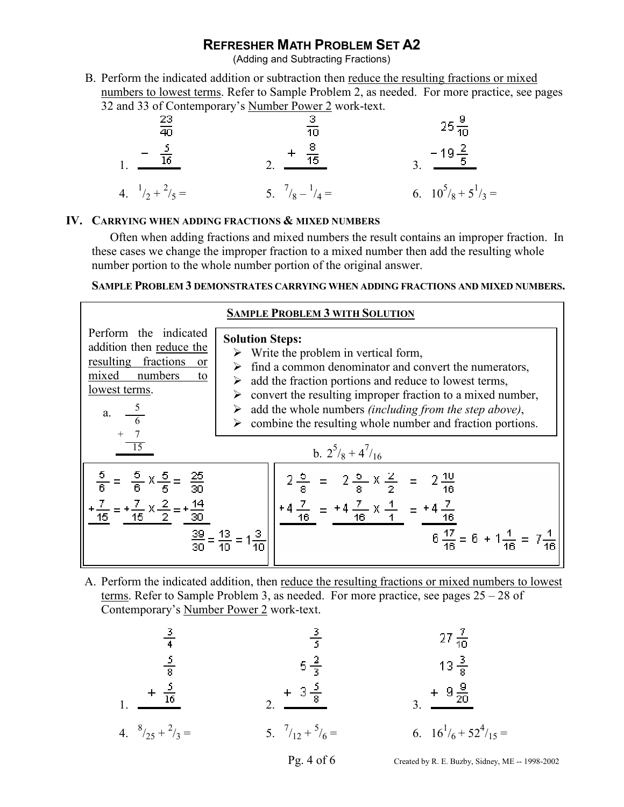(Adding and Subtracting Fractions)

 B. Perform the indicated addition or subtraction then reduce the resulting fractions or mixed numbers to lowest terms. Refer to Sample Problem 2, as needed. For more practice, see pages 32 and 33 of Contemporary's Number Power 2 work-text.

| $\frac{23}{40}$                  | $\frac{3}{10}$                   | $25\frac{9}{10}$           |
|----------------------------------|----------------------------------|----------------------------|
| $\frac{-\frac{5}{16}}{1}$        | 2. $+\frac{8}{15}$               | $\frac{-19\frac{2}{5}}{3}$ |
| 4. $\frac{1}{2} + \frac{2}{5} =$ | 5. $\frac{7}{8} - \frac{1}{4} =$ | 6. $10^5/g + 5^1/g =$      |

### **IV. CARRYING WHEN ADDING FRACTIONS & MIXED NUMBERS**

Often when adding fractions and mixed numbers the result contains an improper fraction. In these cases we change the improper fraction to a mixed number then add the resulting whole number portion to the whole number portion of the original answer.

### **SAMPLE PROBLEM 3 DEMONSTRATES CARRYING WHEN ADDING FRACTIONS AND MIXED NUMBERS.**

| <b>SAMPLE PROBLEM 3 WITH SOLUTION</b>                                                                                           |                                                                                                                                                                                                                                                                                                                                                                                   |  |  |  |
|---------------------------------------------------------------------------------------------------------------------------------|-----------------------------------------------------------------------------------------------------------------------------------------------------------------------------------------------------------------------------------------------------------------------------------------------------------------------------------------------------------------------------------|--|--|--|
| Perform the indicated<br>addition then reduce the<br>resulting fractions<br>or<br>numbers<br>mixed<br>to<br>lowest terms.<br>a. | <b>Solution Steps:</b><br>Write the problem in vertical form,<br>find a common denominator and convert the numerators,<br>add the fraction portions and reduce to lowest terms,<br>convert the resulting improper fraction to a mixed number,<br>add the whole numbers <i>(including from the step above)</i> ,<br>combine the resulting whole number and fraction portions.<br>➤ |  |  |  |
| $=\frac{5}{6} \times \frac{5}{5} = \frac{25}{30}$<br>$= +\frac{7}{15} \times \frac{2}{5}$                                       | b. $2^5$ / <sub>8</sub> + $4^7$ / <sub>16</sub><br>$2\frac{5}{8} \times \frac{2}{2} = 2\frac{10}{16}$<br>= $+4\frac{7}{16} \times \frac{1}{1}$ = $+4\frac{7}{16}$<br>$6\frac{17}{48} = 6 + 1\frac{1}{48} =$                                                                                                                                                                       |  |  |  |

 A. Perform the indicated addition, then reduce the resulting fractions or mixed numbers to lowest terms. Refer to Sample Problem 3, as needed. For more practice, see pages 25 – 28 of Contemporary's Number Power 2 work-text.

| $\frac{3}{4}$                     | $\frac{3}{5}$                     | $27\frac{7}{10}$                      |
|-----------------------------------|-----------------------------------|---------------------------------------|
| $\frac{5}{8}$                     | $5\frac{2}{3}$                    | $13\frac{3}{8}$                       |
| $1. \frac{+ \frac{5}{16}}{2}$     | $2. \frac{+ 3\frac{5}{8}}{2}$     | $3. \frac{+ 9\frac{9}{20}}{2}$        |
| $4. \frac{8}{25} + \frac{2}{3} =$ | $5. \frac{7}{12} + \frac{5}{6} =$ | $6. 16\frac{1}{6} + 52\frac{4}{15} =$ |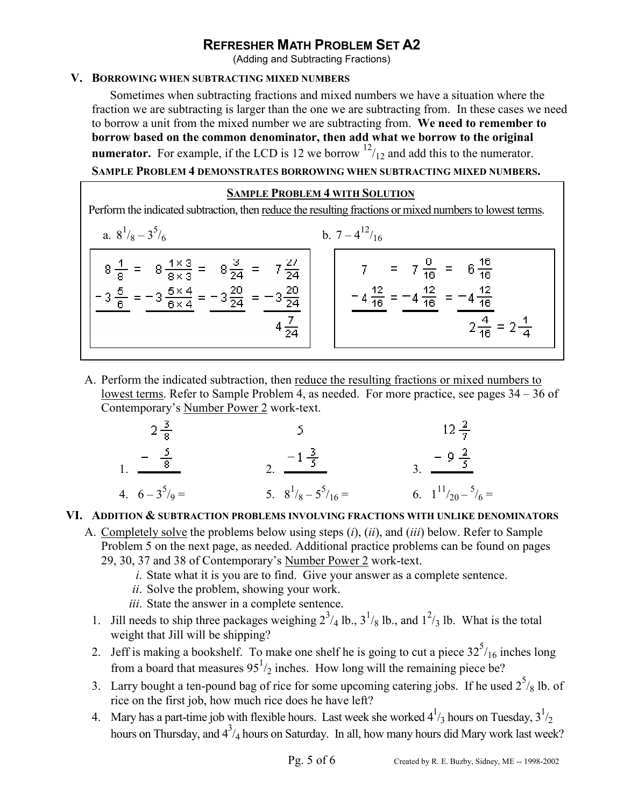(Adding and Subtracting Fractions)

## **V. BORROWING WHEN SUBTRACTING MIXED NUMBERS**

Sometimes when subtracting fractions and mixed numbers we have a situation where the fraction we are subtracting is larger than the one we are subtracting from. In these cases we need to borrow a unit from the mixed number we are subtracting from. **We need to remember to borrow based on the common denominator, then add what we borrow to the original numerator.** For example, if the LCD is 12 we borrow  $\frac{12}{12}$  and add this to the numerator.

**SAMPLE PROBLEM 4 DEMONSTRATES BORROWING WHEN SUBTRACTING MIXED NUMBERS.**

### **SAMPLE PROBLEM 4 WITH SOLUTION**

| Perform the indicated subtraction, then reduce the resulting fractions or mixed numbers to lowest terms.                                                                  |                                                                                                                                     |  |  |  |
|---------------------------------------------------------------------------------------------------------------------------------------------------------------------------|-------------------------------------------------------------------------------------------------------------------------------------|--|--|--|
| a. $8^{1}/8 - 3^{5}/6$                                                                                                                                                    | b. $7-4^{12}/16$                                                                                                                    |  |  |  |
| $8\frac{1}{8}$ = $8\frac{1\times3}{8\times3}$ = $8\frac{3}{24}$ = $7\frac{27}{24}$  <br>$-3\frac{5}{6} = -3\frac{5\times4}{6\times4} = -3\frac{20}{24} = -3\frac{20}{24}$ | 7 = $7\frac{0}{16}$ = $6\frac{16}{16}$<br>$-4\frac{12}{16} = -4\frac{12}{16} = -4\frac{12}{16}$<br>$2\frac{4}{16}$ = $2\frac{1}{4}$ |  |  |  |

 A. Perform the indicated subtraction, then reduce the resulting fractions or mixed numbers to lowest terms. Refer to Sample Problem 4, as needed. For more practice, see pages 34 – 36 of Contemporary's Number Power 2 work-text.

$$
2\frac{3}{8}
$$
  
\n
$$
5
$$
  
\n
$$
12\frac{2}{7}
$$
  
\n
$$
1. \frac{-\frac{5}{8}}{8}
$$
  
\n
$$
2. \frac{-1\frac{3}{5}}{8^{1/8}-5^{5/16}} = 3. \frac{-9\frac{2}{5}}{1^{11/20}-5/6} = 6. 1^{11/20}-5/6 = 6. 1^{11/20} = 6. 1^{11/20} = 6. 1^{11/20} = 6. 1^{11/20} = 6. 1^{11/20} = 6. 1^{11/20} = 6. 1^{11/20} = 6. 1^{11/20} = 6. 1^{11/20} = 6. 1^{11/20} = 6. 1^{11/20} = 6. 1^{11/20} = 6. 1^{11/20} = 6. 1^{11/20} = 6. 1^{11/20} = 6. 1^{11/20} = 6. 1^{11/20} = 6. 1^{11/20} = 6. 1^{11/20} = 6. 1^{11/20} = 6. 1^{11/20} = 6. 1^{11/20} = 6. 1^{11/20} = 6. 1^{11/20} = 6. 1^{11/20} = 6. 1^{11/20} = 6. 1^{11/20} = 6. 1^{11/20} = 6. 1^{11/20} = 6. 1^{11/20} = 6. 1^{11/20} = 6. 1^{11/20} = 6. 1^{11/20} = 6. 1^{11/20} = 6. 1^{11/20} = 6. 1^{11/20} = 6. 1^{11/20} = 6. 1^{11/20} = 6. 1^{11/20} = 6. 1^{11/20} = 6. 1^{11/20} = 6. 1^{11/20} = 6. 1^{11/20} = 6. 1^{11/20} = 6. 1^{11/20} = 6. 1^{11/20} = 6. 1^{11/20
$$

## **VI. ADDITION & SUBTRACTION PROBLEMS INVOLVING FRACTIONS WITH UNLIKE DENOMINATORS**

- A. Completely solve the problems below using steps (*i*), (*ii*), and (*iii*) below. Refer to Sample Problem 5 on the next page, as needed. Additional practice problems can be found on pages 29, 30, 37 and 38 of Contemporary's Number Power 2 work-text.
	- *i*. State what it is you are to find. Give your answer as a complete sentence.
	- *ii*. Solve the problem, showing your work.
	- *iii*. State the answer in a complete sentence.
- 1. Jill needs to ship three packages weighing  $2^3/4$  lb.,  $3^1/8$  lb., and  $1^2/3$  lb. What is the total weight that Jill will be shipping?
- 2. Jeff is making a bookshelf. To make one shelf he is going to cut a piece  $32^{5}/_{16}$  inches long from a board that measures  $95<sup>1</sup>/2$  inches. How long will the remaining piece be?
- 3. Larry bought a ten-pound bag of rice for some upcoming catering jobs. If he used  $2^5$ /<sub>8</sub> lb. of rice on the first job, how much rice does he have left?
- 4. Mary has a part-time job with flexible hours. Last week she worked  $4^{1/3}$  hours on Tuesday,  $3^{1/3}$ hours on Thursday, and  $4^3/4$  hours on Saturday. In all, how many hours did Mary work last week?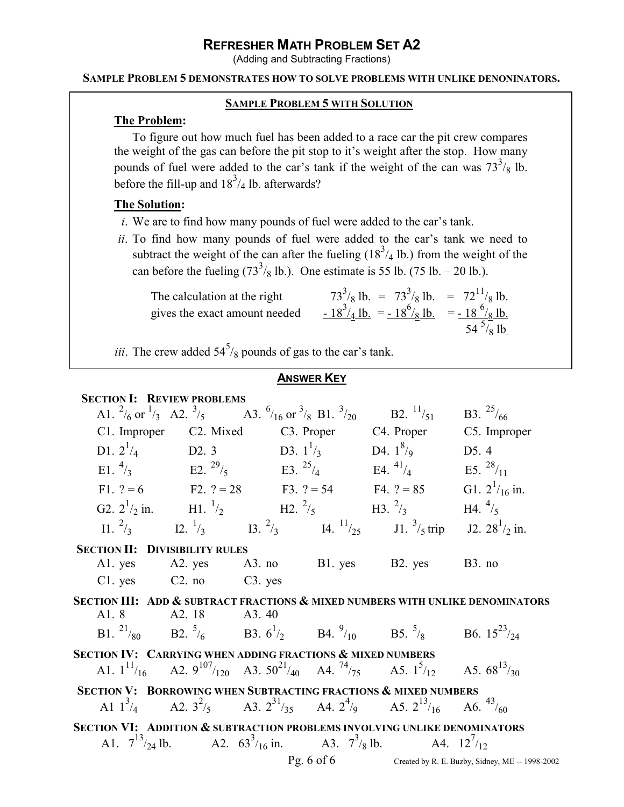(Adding and Subtracting Fractions)

#### **SAMPLE PROBLEM 5 DEMONSTRATES HOW TO SOLVE PROBLEMS WITH UNLIKE DENONINATORS.**

#### **SAMPLE PROBLEM 5 WITH SOLUTION**

### **The Problem:**

To figure out how much fuel has been added to a race car the pit crew compares the weight of the gas can before the pit stop to it's weight after the stop. How many pounds of fuel were added to the car's tank if the weight of the can was  $73^3$ /<sub>8</sub> lb. before the fill-up and  $18^3/4$  lb. afterwards?

### **The Solution:**

- *i*. We are to find how many pounds of fuel were added to the car's tank.
- *ii*. To find how many pounds of fuel were added to the car's tank we need to subtract the weight of the can after the fueling  $(18^3/4 \text{ lb.})$  from the weight of the can before the fueling  $(73^3/g \, lb.)$ . One estimate is 55 lb. (75 lb. – 20 lb.).

The calculation at the right  $73^{3}/_{8}$  lb. =  $73^{3}/_{8}$  lb. =  $72^{11}/_{8}$  lb. gives the exact amount needed  $-18^3/4$  lb. =  $-18^6/8$  lb. =  $-18^6/8$  lb.  $54 \frac{5}{8}$  lb.

*iii*. The crew added  $54<sup>5</sup>/8$  pounds of gas to the car's tank.

### **ANSWER KEY**

### **SECTION I: REVIEW PROBLEMS**

 Pg. 6 of 6 Created by R. E. Buzby, Sidney, ME -- 1998-2002 A1.  $^{2}/_{6}$  or  $^{1}/_{3}$  A2.  $^{3}/_{5}$  A3.  $^{6}/_{16}$  or  $^{3}/_{8}$  B1.  $^{3}/_{20}$  B2.  $^{11}/_{51}$  B3.  $^{25}/_{66}$ C1. Improper C2. Mixed C3. Proper C4. Proper C5. Improper D1.  $2^{1}/_{4}$  D2. 3 D3.  $1^{1}/_{3}$  D4.  $1^{8}/_{9}$  D5. 4 E1.  $\frac{4}{3}$  E2.  $\frac{29}{5}$  E3.  $\frac{25}{4}$  E4.  $\frac{41}{4}$  E5.  $\frac{28}{11}$ F1.  $? = 6$  F2.  $? = 28$  F3.  $? = 54$  F4.  $? = 85$  G1.  $2^{1}/_{16}$  in. G2.  $2^{1}/2$  in. H1.  $^{1}/2$  H2.  $^{2}/5$  H3.  $^{2}/3$  H4.  $^{4}/5$ I1.  $^{2}/_{3}$  I2.  $^{1}/_{3}$  I3.  $^{2}/_{3}$  I4.  $^{11}/_{25}$  J1.  $^{3}/_{5}$  trip J2.  $28^{1}/_{2}$  in. **SECTION II:** DIVISIBILITY RULES<br>A1. yes A2. yes A3. no A1. yes A2. yes A3. no B1. yes B2. yes B3. no C1. yes C2. no C3. yes **SECTION III: ADD & SUBTRACT FRACTIONS & MIXED NUMBERS WITH UNLIKE DENOMINATORS** A1. 8 A2. 18 A3. 40 B1.  $^{21}/_{80}$  B2.  $^{5}/_6$  B3.  $6^{1}/_2$  B4.  $^{9}/_{10}$  B5.  $^{5}/_8$  B6.  $15^{23}/_{24}$ **SECTION IV: CARRYING WHEN ADDING FRACTIONS & MIXED NUMBERS** A1.  $1^{11}/_{16}$  A2.  $9^{107}/_{120}$  A3.  $50^{21}/_{40}$  A4.  $7^{4}/_{75}$  A5.  $1^{5}/_{12}$  A5.  $68^{13}/_{30}$  **SECTION V: BORROWING WHEN SUBTRACTING FRACTIONS & MIXED NUMBERS** A1  $1^{3}/_{4}$  A2.  $3^{2}/_{5}$  A3.  $2^{31}/_{35}$  A4.  $2^{4}/_{9}$  A5.  $2^{13}/_{16}$  A6.  $4^{3}/_{60}$ **SECTION VI: ADDITION & SUBTRACTION PROBLEMS INVOLVING UNLIKE DENOMINATORS** A1.  $7^{13}/_{24}$  lb. A2.  $63^{3}/_{16}$  in. A3.  $7^{3}/_{8}$  lb. A4.  $12^{7}/_{12}$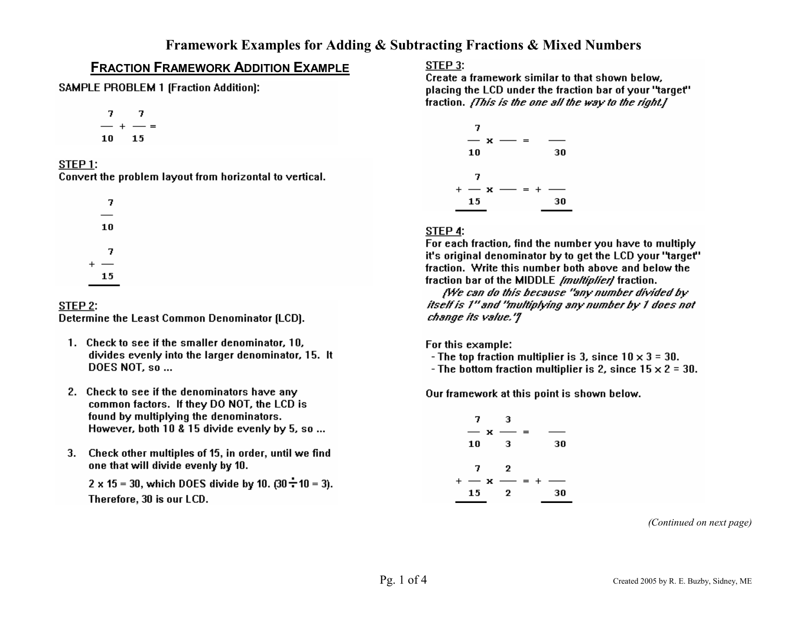# **FRACTION FRAMEWORK ADDITION EXAMPLE**

**SAMPLE PROBLEM 1 (Fraction Addition):** 

$$
\frac{7}{10} + \frac{7}{15} =
$$

### STEP 1:

Convert the problem layout from horizontal to vertical.

|   | 7  |  |
|---|----|--|
|   |    |  |
|   | 10 |  |
|   |    |  |
|   | 7  |  |
| t |    |  |
|   | 15 |  |

### STEP 2:

Determine the Least Common Denominator (LCD).

- 1. Check to see if the smaller denominator, 10, divides evenly into the larger denominator, 15. It DOES NOT, so ...
- 2. Check to see if the denominators have any common factors. If they DO NOT, the LCD is found by multiplying the denominators. However, both 10 & 15 divide evenly by 5, so ...
- 3. Check other multiples of 15, in order, until we find one that will divide evenly by 10.

2 x 15 = 30, which DOES divide by 10.  $(30 \div 10 = 3)$ . Therefore, 30 is our LCD.

### STEP 3:

Create a framework similar to that shown below, placing the LCD under the fraction bar of your "target" fraction. (This is the one all the way to the right.)



## STEP 4:

For each fraction, find the number you have to multiply it's original denominator by to get the LCD your "target" fraction. Write this number both above and below the fraction bar of the MIDDLE *Imultiplierl* fraction.

(We can do this because "any number divided by itself is 1" and "multiplying any number by 1 does not change its value.'7

For this example:

- The top fraction multiplier is 3, since  $10 \times 3 = 30$ .
- The bottom fraction multiplier is 2, since  $15 \times 2 = 30$ .

Our framework at this point is shown below.

| 7      | з   |         |
|--------|-----|---------|
| ж      | $=$ |         |
| 10     | з   | 30      |
|        |     |         |
| 7      | 2   |         |
| +<br>х |     | $=$ $+$ |
| 15     | 2   | 30      |
|        |     |         |

(Continued on next page)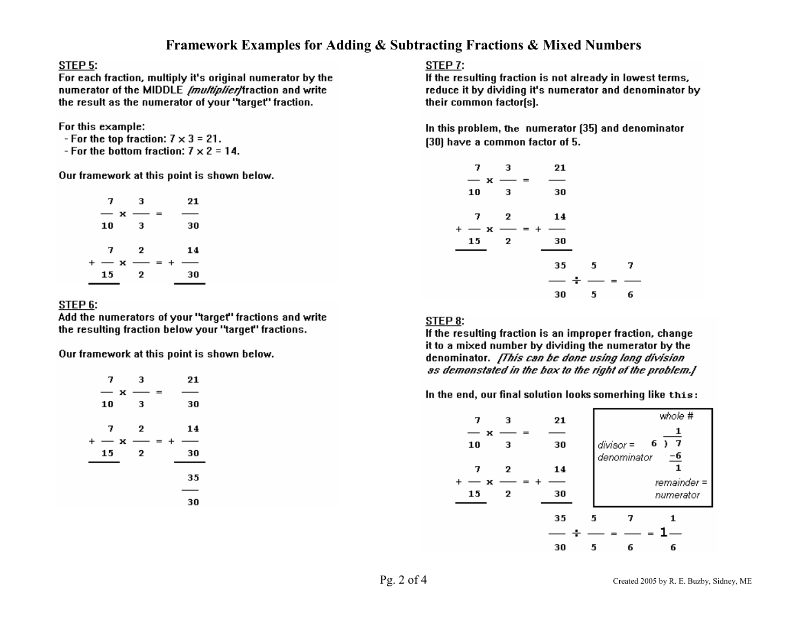## Framework Examples for Adding & Subtracting Fractions & Mixed Numbers

#### STEP 5:

For each fraction, multiply it's original numerator by the numerator of the MIDDLE /multiplier/fraction and write the result as the numerator of your "target" fraction.

For this example:

- For the top fraction:  $7 \times 3 = 21$ .
- For the bottom fraction:  $7 \times 2 = 14$ .

Our framework at this point is shown below.



### STEP<sub>6</sub>:

Add the numerators of your "target" fractions and write the resulting fraction below your "target" fractions.

Our framework at this point is shown below.



### STEP 7:

If the resulting fraction is not already in lowest terms, reduce it by dividing it's numerator and denominator by their common factor(s).

In this problem, the numerator [35] and denominator [30] have a common factor of 5.



#### STEP 8:

If the resulting fraction is an improper fraction, change it to a mixed number by dividing the numerator by the denominator. *(This can be done using long division*) as demonstated in the box to the right of the problem.

In the end, our final solution looks somerhing like this:

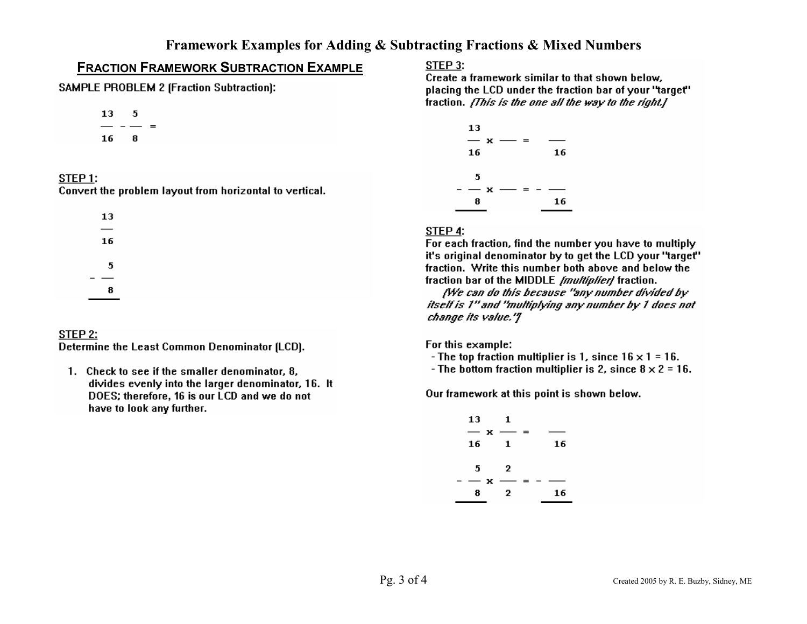# **FRACTION FRAMEWORK SUBTRACTION EXAMPLE**

**SAMPLE PROBLEM 2 (Fraction Subtraction):** 

$$
\begin{array}{cc} 13 & 5 \\ - & - \\ \hline 16 & 8 \end{array} =
$$

### STEP<sub>1:</sub>

Convert the problem layout from horizontal to vertical.

| 13 |  |
|----|--|
|    |  |
| 16 |  |
| 5  |  |
|    |  |
| 8  |  |

## STEP 2:

Determine the Least Common Denominator (LCD).

1. Check to see if the smaller denominator, 8, divides evenly into the larger denominator, 16. It DOES; therefore, 16 is our LCD and we do not have to look any further.

## STEP 3:

Create a framework similar to that shown below, placing the LCD under the fraction bar of your "target" fraction. (This is the one all the way to the right.)



## STEP 4:

For each fraction, find the number you have to multiply it's original denominator by to get the LCD your "target" fraction. Write this number both above and below the fraction bar of the MIDDLE *Imultiplierl* fraction.

**IWe can do this because "any number divided by** itself is 1" and "multiplying any number by 1 does not change its value.'7

For this example:

- The top fraction multiplier is 1, since  $16 \times 1 = 16$ .

- The bottom fraction multiplier is 2, since  $8 \times 2 = 16$ .

Our framework at this point is shown below.

| 13      |   | 1 |     |    |
|---------|---|---|-----|----|
| –<br>16 | × | 1 | $=$ | 16 |
| 5       |   | 2 |     |    |
|         | x |   | ≕   |    |
| 8       |   | 2 |     | 16 |